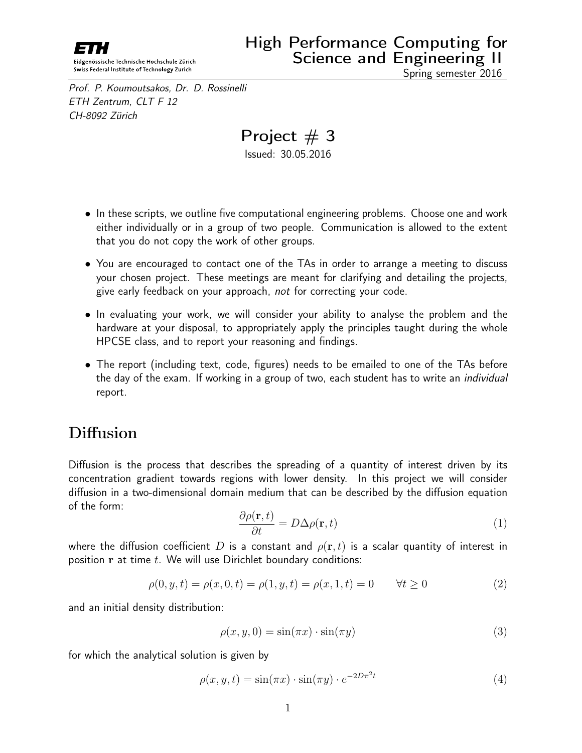

Prof. P. Koumoutsakos, Dr. D. Rossinelli ETH Zentrum, CLT F 12 CH-8092 Zürich

# Project  $# 3$

Issued: 30.05.2016

- In these scripts, we outline five computational engineering problems. Choose one and work either individually or in a group of two people. Communication is allowed to the extent that you do not copy the work of other groups.
- You are encouraged to contact one of the TAs in order to arrange a meeting to discuss your chosen project. These meetings are meant for clarifying and detailing the projects, give early feedback on your approach, not for correcting your code.
- In evaluating your work, we will consider your ability to analyse the problem and the hardware at your disposal, to appropriately apply the principles taught during the whole HPCSE class, and to report your reasoning and findings.
- The report (including text, code, figures) needs to be emailed to one of the TAs before the day of the exam. If working in a group of two, each student has to write an *individual* report.

## **Diffusion**

Diffusion is the process that describes the spreading of a quantity of interest driven by its concentration gradient towards regions with lower density. In this project we will consider diffusion in a two-dimensional domain medium that can be described by the diffusion equation of the form:

<span id="page-0-0"></span>
$$
\frac{\partial \rho(\mathbf{r},t)}{\partial t} = D\Delta \rho(\mathbf{r},t)
$$
\n(1)

where the diffusion coefficient D is a constant and  $\rho(\mathbf{r}, t)$  is a scalar quantity of interest in position  $r$  at time  $t$ . We will use Dirichlet boundary conditions:

$$
\rho(0, y, t) = \rho(x, 0, t) = \rho(1, y, t) = \rho(x, 1, t) = 0 \qquad \forall t \ge 0
$$
\n(2)

and an initial density distribution:

$$
\rho(x, y, 0) = \sin(\pi x) \cdot \sin(\pi y) \tag{3}
$$

for which the analytical solution is given by

$$
\rho(x, y, t) = \sin(\pi x) \cdot \sin(\pi y) \cdot e^{-2D\pi^2 t} \tag{4}
$$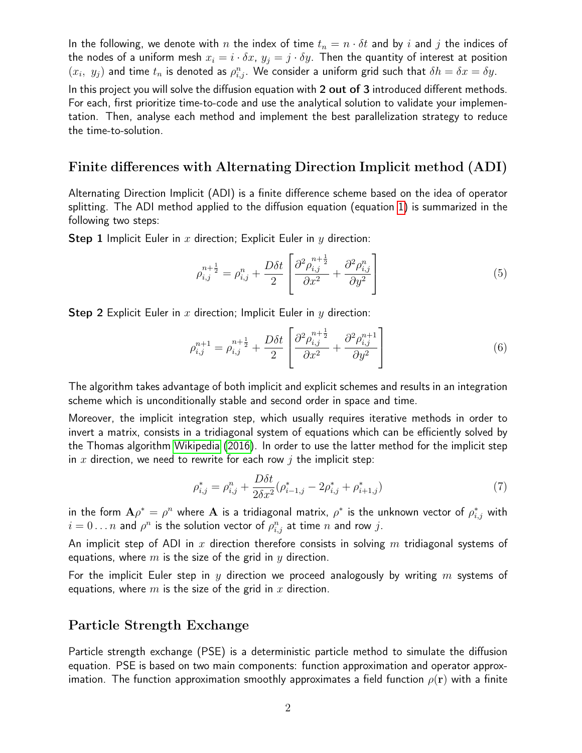In the following, we denote with n the index of time  $t_n = n \cdot \delta t$  and by i and j the indices of the nodes of a uniform mesh  $x_i = i \cdot \delta x$ ,  $y_i = j \cdot \delta y$ . Then the quantity of interest at position  $(x_i, y_j)$  and time  $t_n$  is denoted as  $\rho_{i,j}^n$ . We consider a uniform grid such that  $\delta h = \delta x = \delta y$ . In this project you will solve the diffusion equation with 2 out of 3 introduced different methods.

For each, first prioritize time-to-code and use the analytical solution to validate your implementation. Then, analyse each method and implement the best parallelization strategy to reduce the time-to-solution.

#### Finite differences with Alternating Direction Implicit method (ADI)

Alternating Direction Implicit (ADI) is a finite difference scheme based on the idea of operator splitting. The ADI method applied to the diffusion equation (equation [1\)](#page-0-0) is summarized in the following two steps:

**Step 1** Implicit Euler in x direction; Explicit Euler in y direction:

$$
\rho_{i,j}^{n+\frac{1}{2}} = \rho_{i,j}^n + \frac{D\delta t}{2} \left[ \frac{\partial^2 \rho_{i,j}^{n+\frac{1}{2}}}{\partial x^2} + \frac{\partial^2 \rho_{i,j}^n}{\partial y^2} \right]
$$
(5)

Step 2 Explicit Euler in  $x$  direction; Implicit Euler in  $y$  direction:

$$
\rho_{i,j}^{n+1} = \rho_{i,j}^{n+\frac{1}{2}} + \frac{D\delta t}{2} \left[ \frac{\partial^2 \rho_{i,j}^{n+\frac{1}{2}}}{\partial x^2} + \frac{\partial^2 \rho_{i,j}^{n+1}}{\partial y^2} \right]
$$
(6)

The algorithm takes advantage of both implicit and explicit schemes and results in an integration scheme which is unconditionally stable and second order in space and time.

Moreover, the implicit integration step, which usually requires iterative methods in order to invert a matrix, consists in a tridiagonal system of equations which can be efficiently solved by the Thomas algorithm [Wikipedia](#page-3-0) [\(2016\)](#page-3-0). In order to use the latter method for the implicit step in x direction, we need to rewrite for each row  $j$  the implicit step:

$$
\rho_{i,j}^* = \rho_{i,j}^n + \frac{D\delta t}{2\delta x^2} (\rho_{i-1,j}^* - 2\rho_{i,j}^* + \rho_{i+1,j}^*)
$$
\n(7)

in the form  ${\bf A}\rho^*=\rho^n$  where  ${\bf A}$  is a tridiagonal matrix,  $\rho^*$  is the unknown vector of  $\rho^*_{i,j}$  with  $i=0 \dots n$  and  $\rho^n$  is the solution vector of  $\rho^n_{i,j}$  at time  $n$  and row  $j.$ 

An implicit step of ADI in  $x$  direction therefore consists in solving  $m$  tridiagonal systems of equations, where  $m$  is the size of the grid in  $y$  direction.

For the implicit Euler step in y direction we proceed analogously by writing  $m$  systems of equations, where  $m$  is the size of the grid in  $x$  direction.

#### Particle Strength Exchange

Particle strength exchange (PSE) is a deterministic particle method to simulate the diffusion equation. PSE is based on two main components: function approximation and operator approximation. The function approximation smoothly approximates a field function  $\rho(\mathbf{r})$  with a finite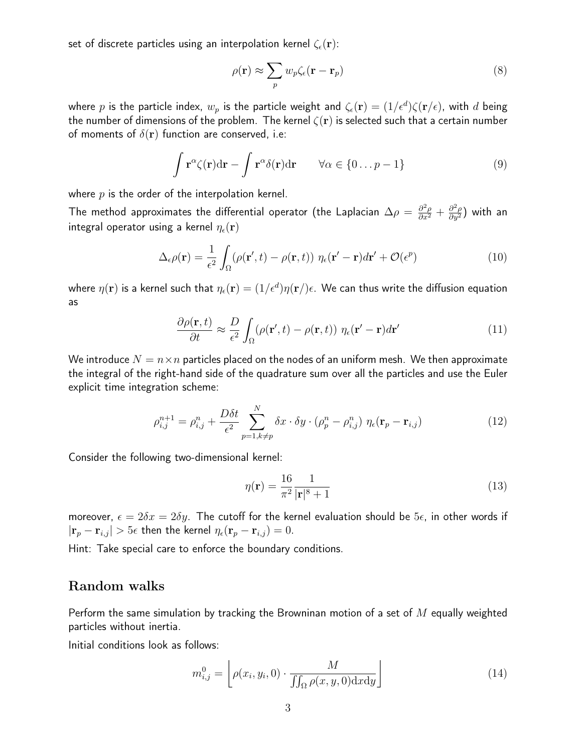set of discrete particles using an interpolation kernel  $\zeta_{\epsilon}({\bf r})$ :

$$
\rho(\mathbf{r}) \approx \sum_{p} w_p \zeta_{\epsilon}(\mathbf{r} - \mathbf{r}_p)
$$
\n(8)

where  $p$  is the particle index,  $w_p$  is the particle weight and  $\zeta_\epsilon(\mathbf{r})=(1/\epsilon^d)\zeta(\mathbf{r}/\epsilon)$ , with  $d$  being the number of dimensions of the problem. The kernel  $\zeta(\mathbf{r})$  is selected such that a certain number of moments of  $\delta(\mathbf{r})$  function are conserved, i.e:

$$
\int \mathbf{r}^{\alpha} \zeta(\mathbf{r}) d\mathbf{r} - \int \mathbf{r}^{\alpha} \delta(\mathbf{r}) d\mathbf{r} \qquad \forall \alpha \in \{0...p-1\}
$$
\n(9)

where  $p$  is the order of the interpolation kernel.

The method approximates the differential operator (the Laplacian  $\Delta\rho=\frac{\partial^2\rho}{\partial x^2}+\frac{\partial^2\rho}{\partial y^2})$  with an integral operator using a kernel  $\eta_{\epsilon}(\mathbf{r})$ 

$$
\Delta_{\epsilon}\rho(\mathbf{r}) = \frac{1}{\epsilon^2} \int_{\Omega} (\rho(\mathbf{r}', t) - \rho(\mathbf{r}, t)) \eta_{\epsilon}(\mathbf{r}' - \mathbf{r}) d\mathbf{r}' + \mathcal{O}(\epsilon^p)
$$
(10)

where  $\eta({\bf r})$  is a kernel such that  $\eta_\epsilon({\bf r})=(1/\epsilon^d)\eta({\bf r}/\!) \epsilon.$  We can thus write the diffusion equation as

$$
\frac{\partial \rho(\mathbf{r},t)}{\partial t} \approx \frac{D}{\epsilon^2} \int_{\Omega} (\rho(\mathbf{r}',t) - \rho(\mathbf{r},t)) \eta_{\epsilon}(\mathbf{r}' - \mathbf{r}) d\mathbf{r}' \tag{11}
$$

We introduce  $N = n \times n$  particles placed on the nodes of an uniform mesh. We then approximate the integral of the right-hand side of the quadrature sum over all the particles and use the Euler explicit time integration scheme:

$$
\rho_{i,j}^{n+1} = \rho_{i,j}^n + \frac{D\delta t}{\epsilon^2} \sum_{p=1, k \neq p}^N \delta x \cdot \delta y \cdot (\rho_p^n - \rho_{i,j}^n) \eta_{\epsilon}(\mathbf{r}_p - \mathbf{r}_{i,j}) \tag{12}
$$

Consider the following two-dimensional kernel:

$$
\eta(\mathbf{r}) = \frac{16}{\pi^2} \frac{1}{|\mathbf{r}|^8 + 1} \tag{13}
$$

moreover,  $\epsilon = 2\delta x = 2\delta y$ . The cutoff for the kernel evaluation should be  $5\epsilon$ , in other words if  $|\mathbf{r}_p - \mathbf{r}_{i,j}| > 5\epsilon$  then the kernel  $\eta_{\epsilon}(\mathbf{r}_p - \mathbf{r}_{i,j}) = 0$ .

Hint: Take special care to enforce the boundary conditions.

#### Random walks

Perform the same simulation by tracking the Browninan motion of a set of  $M$  equally weighted particles without inertia.

Initial conditions look as follows:

$$
m_{i,j}^0 = \left[ \rho(x_i, y_i, 0) \cdot \frac{M}{\iint_{\Omega} \rho(x, y, 0) \, dx \, dy} \right] \tag{14}
$$